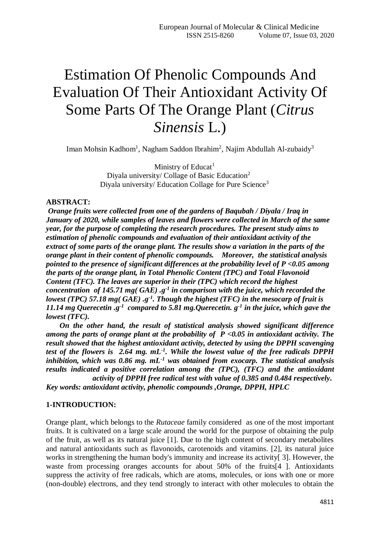# Estimation Of Phenolic Compounds And Evaluation Of Their Antioxidant Activity Of Some Parts Of The Orange Plant (*Citrus Sinensis* L.)

Iman Mohsin Kadhom<sup>1</sup>, Nagham Saddon Ibrahim<sup>2</sup>, [Najim Abdullah Al-zubaidy](https://www.iasj.net/iasj/search?query=au:%22Najim%20%20Abdullah%20Jumaah%22)<sup>3</sup>

Ministry of Educat<sup>1</sup> Diyala university/ Collage of Basic Education<sup>2</sup> Diyala university/ Education Collage for Pure Science<sup>3</sup>

## **ABSTRACT:**

*Orange fruits were collected from one of the gardens of Baqubah / Diyala / Iraq in January of 2020, while samples of leaves and flowers were collected in March of the same year, for the purpose of completing the research procedures. The present study aims to estimation of phenolic compounds and evaluation of their antioxidant activity of the extract of some parts of the orange plant. The results show a variation in the parts of the orange plant in their content of phenolic compounds. Moreover, the statistical analysis pointed to the presence of significant differences at the probability level of P <0.05 among the parts of the orange plant, in Total Phenolic Content (TPC) and Total Flavonoid Content (TFC). The leaves are superior in their (TPC) which record the highest concentration of 145.71 mg( GAE) .g<sup>-1</sup> in comparison with the juice, which recorded the lowest (TPC) 57.18 mg( GAE) .g<sup>-1</sup>. Though the highest (TFC) in the mesocarp of fruit is* 11.14 mg Querecetin .g<sup>-1</sup> compared to 5.81 mg. Querecetin.  $g^{-1}$  in the juice, which gave the *lowest (TFC).*

 *On the other hand, the result of statistical analysis showed significant difference among the parts of orange plant at the probability of P <0.05 in antioxidant activity. The result showed that the highest antioxidant activity, detected by using the DPPH scavenging*  test of the flowers is 2.64 mg. mL<sup>-1</sup>. While the lowest value of the free radicals DPPH *inhibition, which was 0.86 mg. mL<sup>-1</sup> was obtained from exocarp. The statistical analysis results indicated a positive correlation among the (TPC), (TFC) and the antioxidant activity of DPPH free radical test with value of 0.385 and 0.484 respectively.* 

*Key words: antioxidant activity, phenolic compounds ,Orange, DPPH, HPLC*

#### **1-INTRODUCTION:**

Orange plant, which belongs to the *Rutaceae* family considered as one of the most important fruits. It is cultivated on a large scale around the world for the purpose of obtaining the pulp of the fruit, as well as its natural juice [1]. Due to the high content of secondary metabolites and natural antioxidants such as flavonoids, carotenoids and vitamins. [2], its natural juice works in strengthening the human body's immunity and increase its activity [3]. However, the waste from processing oranges accounts for about 50% of the fruits[4 ]. Antioxidants suppress the activity of free radicals, which are atoms, molecules, or ions with one or more (non-double) electrons, and they tend strongly to interact with other molecules to obtain the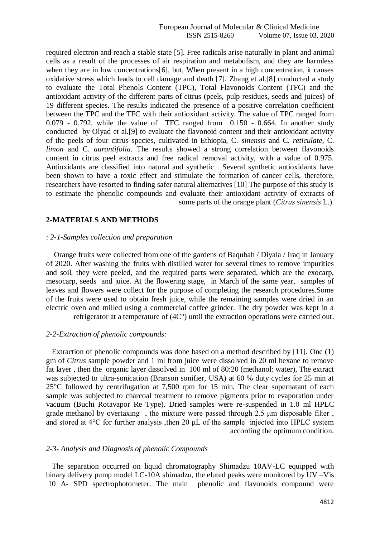required electron and reach a stable state [5]. Free radicals arise naturally in plant and animal cells as a result of the processes of air respiration and metabolism, and they are harmless when they are in low concentrations [6], but, When present in a high concentration, it causes oxidative stress which leads to cell damage and death [7]. Zhang et al.[8] conducted a study to evaluate the Total Phenols Content (TPC), Total Flavonoids Content (TFC) and the antioxidant activity of the different parts of citrus (peels, pulp residues, seeds and juices) of 19 different species. The results indicated the presence of a positive correlation coefficient between the TPC and the TFC with their antioxidant activity. The value of TPC ranged from 0.079 - 0.792, while the value of TFC ranged from 0.150 - 0.664. In another study conducted by Olyad et al.[9] to evaluate the flavonoid content and their antioxidant activity of the peels of four citrus species, cultivated in Ethiopia, C. *sinensis* and C. *reticulate*, C. *limon* and C. *aurantifolia*. The results showed a strong correlation between flavonoids content in citrus peel extracts and free radical removal activity, with a value of 0.975. Antioxidants are classified into natural and synthetic . Several synthetic antioxidants have been shown to have a toxic effect and stimulate the formation of cancer cells, therefore, researchers have resorted to finding safer natural alternatives [10] The purpose of this study is to estimate the phenolic compounds and evaluate their antioxidant activity of extracts of some parts of the orange plant (*Citrus sinensis* L.).

## **2-MATERIALS AND METHODS**

#### : *2-1-Samples collection and preparation*

 Orange fruits were collected from one of the gardens of Baqubah / Diyala / Iraq in January of 2020. After washing the fruits with distilled water for several times to remove impurities and soil, they were peeled, and the required parts were separated, which are the exocarp, mesocarp, seeds and juice. At the flowering stage, in March of the same year, samples of leaves and flowers were collect for the purpose of completing the research procedures.Some of the fruits were used to obtain fresh juice, while the remaining samples were dried in an electric oven and milled using a commercial coffee grinder. The dry powder was kept in a refrigerator at a temperature of (4C°) until the extraction operations were carried out.

#### *2-2-Extraction of phenolic compounds:*

 Extraction of phenolic compounds was done based on a method described by [11]. One (1) gm of *Citrus* sample powder and 1 ml from juice were dissolved in 20 ml hexane to remove fat layer , then the organic layer dissolved in 100 ml of 80:20 (methanol: water), The extract was subjected to ultra-sonication (Branson sonifier, USA) at 60 % duty cycles for 25 min at 25°C followed by centrifugation at 7,500 rpm for 15 min. The clear supernatant of each sample was subjected to charcoal treatment to remove pigments prior to evaporation under vacuum (Buchi Rotavapor Re Type). Dried samples were re-suspended in 1.0 ml HPLC grade methanol by overtaxing , the mixture were passed through 2.5 μm disposable filter , and stored at 4°C for further analysis ,then 20 μL of the sample injected into HPLC system according the optimum condition.

## *2-3- Analysis and Diagnosis of phenolic Compounds*

 The separation occurred on liquid chromatography Shimadzu 10AV-LC equipped with binary delivery pump model LC-10A shimadzu, the eluted peaks were monitored by UV –Vis 10 A- SPD spectrophotometer. The main phenolic and flavonoids compound were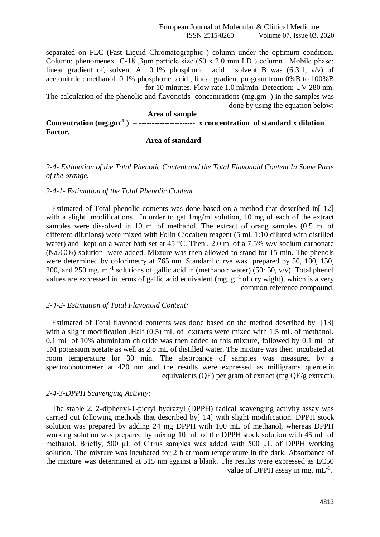separated on FLC (Fast Liquid Chromatographic ) column under the optimum condition. Column: phenomenex C-18 ,3μm particle size (50 x 2.0 mm I.D ) column. Mobile phase: linear gradient of, solvent A 0.1% phosphoric acid : solvent B was (6:3:1, v/v) of acetonitrile : methanol: 0.1% phosphoric acid , linear gradient program from 0%B to 100%B for 10 minutes. Flow rate 1.0 ml/min. Detection: UV 280 nm.

The calculation of the phenolic and flavonoids concentrations (mg.gm<sup>-1</sup>) in the samples was done by using the equation below:

# **Area of sample Concentration** ( $mg,gm^{-1}$ ) = ---------------------- x concentration of standard x dilution **Factor.**

## **Area of standard**

# *2-4- Estimation of the Total Phenolic Content and the Total Flavonoid Content In Some Parts of the orange.*

## *2-4-1- Estimation of the Total Phenolic Content*

 Estimated of Total phenolic contents was done based on a method that described in[ 12] with a slight modifications. In order to get 1mg/ml solution, 10 mg of each of the extract samples were dissolved in 10 ml of methanol. The extract of orang samples (0.5 ml of different dilutions) were mixed with Folin Ciocalteu reagent (5 ml, 1:10 diluted with distilled water) and kept on a water bath set at 45 °C. Then, 2.0 ml of a 7.5% w/v sodium carbonate  $(Na<sub>2</sub>CO<sub>3</sub>)$  solution were added. Mixture was then allowed to stand for 15 min. The phenols were determined by colorimetry at 765 nm. Standard curve was prepared by 50, 100, 150, 200, and 250 mg. ml<sup>-1</sup> solutions of gallic acid in (methanol: water) (50: 50, v/v). Total phenol values are expressed in terms of gallic acid equivalent (mg.  $g^{-1}$  of dry wight), which is a very common reference compound.

## *2-4-2- Estimation of Total Flavonoid Content:*

 Estimated of Total flavonoid contents was done based on the method described by [13] with a slight modification .Half (0.5) mL of extracts were mixed with 1.5 mL of methanol. 0.1 mL of 10% aluminium chloride was then added to this mixture, followed by 0.1 mL of 1M potassium acetate as well as 2.8 mL of distilled water. The mixture was then incubated at room temperature for 30 min. The absorbance of samples was measured by a spectrophotometer at 420 nm and the results were expressed as milligrams quercetin equivalents (QE) per gram of extract (mg QE/g extract).

## *2-4-3-DPPH Scavenging Activity:*

 The stable 2, 2-diphenyl-1-picryl hydrazyl (DPPH) radical scavenging activity assay was carried out following methods that described by[ 14] with slight modification. DPPH stock solution was prepared by adding 24 mg DPPH with 100 mL of methanol, whereas DPPH working solution was prepared by mixing 10 mL of the DPPH stock solution with 45 mL of methanol. Briefly, 500 μL of Citrus samples was added with 500 µL of DPPH working solution. The mixture was incubated for 2 h at room temperature in the dark. Absorbance of the mixture was determined at 515 nm against a blank. The results were expressed as EC50 value of DPPH assay in mg.  $mL^{-1}$ .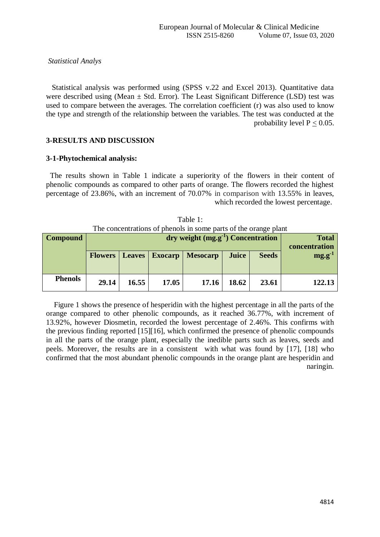## *Statistical Analys*

 Statistical analysis was performed using (SPSS v.22 and Excel 2013). Quantitative data were described using (Mean  $\pm$  Std. Error). The Least Significant Difference (LSD) test was used to compare between the averages. The correlation coefficient (r) was also used to know the type and strength of the relationship between the variables. The test was conducted at the probability level  $P < 0.05$ .

## **3-RESULTS AND DISCUSSION**

## **3-1-Phytochemical analysis:**

 The results shown in Table 1 indicate a superiority of the flowers in their content of phenolic compounds as compared to other parts of orange. The flowers recorded the highest percentage of 23.86%, with an increment of 70.07% in comparison with 13.55% in leaves, which recorded the lowest percentage.

| The concentrations of prietions in some parts of the orange plant |                                                        |       |                       |                               |              |              |             |
|-------------------------------------------------------------------|--------------------------------------------------------|-------|-----------------------|-------------------------------|--------------|--------------|-------------|
| <b>Compound</b>                                                   | $\frac{dy}{dx}$ dry weight $(mg.g^{-1})$ Concentration |       |                       | <b>Total</b><br>concentration |              |              |             |
|                                                                   | <b>Flowers</b>                                         |       | <b>Leaves</b> Exocarp | Mesocarp                      | <b>Juice</b> | <b>Seeds</b> | $mg.g^{-1}$ |
| <b>Phenols</b>                                                    | 29.14                                                  | 16.55 | 17.05                 | 17.16                         | 18.62        | 23.61        | 122.13      |

| Table 1:                                                        |  |
|-----------------------------------------------------------------|--|
| The concentrations of phenols in some parts of the orange plant |  |

 Figure 1 shows the presence of hesperidin with the highest percentage in all the parts of the orange compared to other phenolic compounds, as it reached 36.77%, with increment of 13.92%, however Diosmetin, recorded the lowest percentage of 2.46%. This confirms with the previous finding reported [15][16], which confirmed the presence of phenolic compounds in all the parts of the orange plant, especially the inedible parts such as leaves, seeds and peels. Moreover, the results are in a consistent with what was found by [17], [18] who confirmed that the most abundant phenolic compounds in the orange plant are hesperidin and naringin.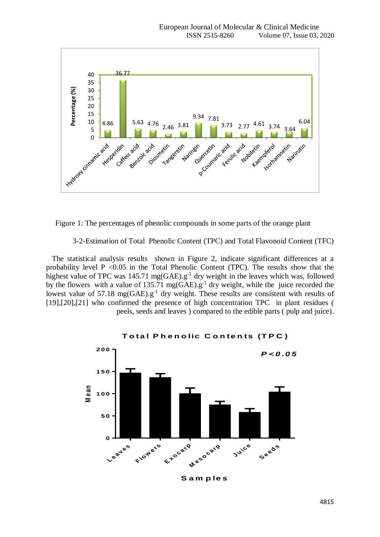

Figure 1: The percentages of phenolic compounds in some parts of the orange plant

3-2-Estimation of Total Phenolic Content (TPC) and Total Flavonoid Content (TFC)

 The statistical analysis results shown in Figure 2, indicate significant differences at a probability level  $P \leq 0.05$  in the Total Phenolic Content (TPC). The results show that the highest value of TPC was 145.71 mg(GAE).g<sup>-1</sup> dry weight in the leaves which was, followed by the flowers with a value of 135.71 mg(GAE).g<sup>-1</sup> dry weight, while the juice recorded the lowest value of 57.18 mg(GAE).g<sup>-1</sup> dry weight. These results are consistent with results of [19],[20],[21] who confirmed the presence of high concentration TPC in plant residues ( peels, seeds and leaves ) compared to the edible parts ( pulp and juice).



**T <sup>o</sup> ta l P h <sup>e</sup> <sup>n</sup> <sup>o</sup> lic C <sup>o</sup> <sup>n</sup> te <sup>n</sup> ts (T P C )**

**S <sup>a</sup> <sup>m</sup> p le <sup>s</sup>**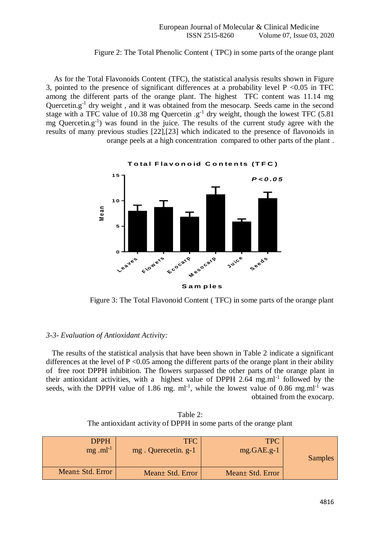## Figure 2: The Total Phenolic Content ( TPC) in some parts of the orange plant

 As for the Total Flavonoids Content (TFC), the statistical analysis results shown in Figure 3, pointed to the presence of significant differences at a probability level  $P < 0.05$  in TFC among the different parts of the orange plant. The highest TFC content was 11.14 mg Quercetin.g<sup>-1</sup> dry weight, and it was obtained from the mesocarp. Seeds came in the second stage with a TFC value of 10.38 mg Quercetin  $g^{-1}$  dry weight, though the lowest TFC (5.81  $mg$  Quercetin.g<sup>-1</sup>) was found in the juice. The results of the current study agree with the results of many previous studies [22],[23] which indicated to the presence of flavonoids in orange peels at a high concentration compared to other parts of the plant .



Figure 3: The Total Flavonoid Content ( TFC) in some parts of the orange plant

## *3-3- Evaluation of Antioxidant Activity:*

 The results of the statistical analysis that have been shown in Table 2 indicate a significant differences at the level of  $P \le 0.05$  among the different parts of the orange plant in their ability of free root DPPH inhibition. The flowers surpassed the other parts of the orange plant in their antioxidant activities, with a highest value of DPPH 2.64 mg.ml<sup>-1</sup> followed by the seeds, with the DPPH value of 1.86 mg.  $ml^{-1}$ , while the lowest value of 0.86 mg.ml<sup>-1</sup> was obtained from the exocarp.

Table 2: The antioxidant activity of DPPH in some parts of the orange plant

| <b>DPPH</b>            | <b>TFC</b>          | <b>TPC</b>        |         |
|------------------------|---------------------|-------------------|---------|
| $mg$ .ml <sup>-1</sup> | mg. Querecetin. g-1 | $mg.GAE.g-1$      |         |
|                        |                     |                   | Samples |
|                        |                     |                   |         |
| Mean + Std. Error      | Mean + Std. Error   | Mean + Std. Error |         |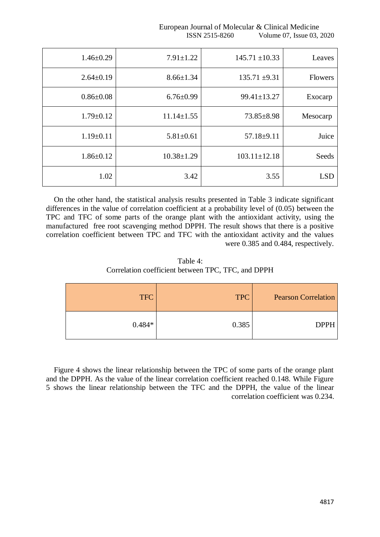European Journal of Molecular & Clinical Medicine ISSN 2515-8260 Volume 07, Issue 03, 2020

| Leaves     | $145.71 \pm 10.33$ | $7.91 \pm 1.22$  | $1.46 \pm 0.29$ |
|------------|--------------------|------------------|-----------------|
| Flowers    | $135.71 \pm 9.31$  | $8.66 \pm 1.34$  | $2.64 \pm 0.19$ |
| Exocarp    | 99.41±13.27        | $6.76 \pm 0.99$  | $0.86 \pm 0.08$ |
| Mesocarp   | $73.85 \pm 8.98$   | $11.14 \pm 1.55$ | $1.79 \pm 0.12$ |
| Juice      | $57.18 \pm 9.11$   | $5.81 \pm 0.61$  | $1.19 \pm 0.11$ |
| Seeds      | $103.11 \pm 12.18$ | $10.38 \pm 1.29$ | $1.86 \pm 0.12$ |
| <b>LSD</b> | 3.55               | 3.42             | 1.02            |

 On the other hand, the statistical analysis results presented in Table 3 indicate significant differences in the value of correlation coefficient at a probability level of (0.05) between the TPC and TFC of some parts of the orange plant with the antioxidant activity, using the manufactured free root scavenging method DPPH. The result shows that there is a positive correlation coefficient between TPC and TFC with the antioxidant activity and the values were 0.385 and 0.484, respectively.

Table 4: Correlation coefficient between TPC, TFC, and DPPH

| <b>Pearson Correlation</b> | <b>TPC</b> | <b>TFC</b> |
|----------------------------|------------|------------|
| <b>DPPH</b>                | 0.385      | $0.484*$   |

 Figure 4 shows the linear relationship between the TPC of some parts of the orange plant and the DPPH. As the value of the linear correlation coefficient reached 0.148. While Figure 5 shows the linear relationship between the TFC and the DPPH, the value of the linear correlation coefficient was 0.234.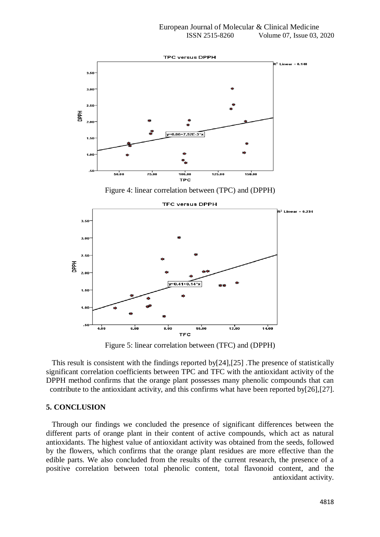

Figure 5: linear correlation between (TFC) and (DPPH)

 This result is consistent with the findings reported by[24],[25] .The presence of statistically significant correlation coefficients between TPC and TFC with the antioxidant activity of the DPPH method confirms that the orange plant possesses many phenolic compounds that can contribute to the antioxidant activity, and this confirms what have been reported by[26],[27].

#### **5. CONCLUSION**

 Through our findings we concluded the presence of significant differences between the different parts of orange plant in their content of active compounds, which act as natural antioxidants. The highest value of antioxidant activity was obtained from the seeds, followed by the flowers, which confirms that the orange plant residues are more effective than the edible parts. We also concluded from the results of the current research, the presence of a positive correlation between total phenolic content, total flavonoid content, and the antioxidant activity.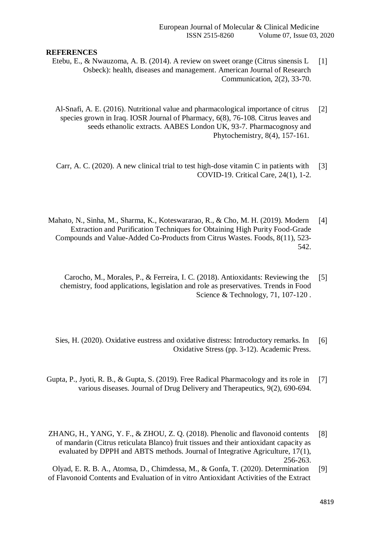## **REFERENCES**

- Etebu, E., & Nwauzoma, A. B. (2014). A review on sweet orange (Citrus sinensis L [1] Osbeck): health, diseases and management. American Journal of Research Communication, 2(2), 33-70.
- Al-Snafi, A. E. (2016). Nutritional value and pharmacological importance of citrus  $[2]$ species grown in Iraq. IOSR Journal of Pharmacy, 6(8), 76-108. Citrus leaves and seeds ethanolic extracts. AABES London UK, 93-7. Pharmacognosy and Phytochemistry, 8(4), 157-161.
- Carr, A. C. (2020). A new clinical trial to test high-dose vitamin C in patients with [3] COVID-19. Critical Care, 24(1), 1-2.
- Mahato, N., Sinha, M., Sharma, K., Koteswararao, R., & Cho, M. H. (2019). Modern [4] Extraction and Purification Techniques for Obtaining High Purity Food-Grade Compounds and Value-Added Co-Products from Citrus Wastes. Foods, 8(11), 523- 542.
	- Carocho, M., Morales, P., & Ferreira, I. C. (2018). Antioxidants: Reviewing the [5] chemistry, food applications, legislation and role as preservatives. Trends in Food Science & Technology, 71, 107-120 .
	- Sies, H. (2020). Oxidative eustress and oxidative distress: Introductory remarks. In [6] Oxidative Stress (pp. 3-12). Academic Press.
- Gupta, P., Jyoti, R. B., & Gupta, S. (2019). Free Radical Pharmacology and its role in [7] various diseases. Journal of Drug Delivery and Therapeutics, 9(2), 690-694.
- ZHANG, H., YANG, Y. F., & ZHOU, Z. Q. (2018). Phenolic and flavonoid contents  $[8]$ of mandarin (Citrus reticulata Blanco) fruit tissues and their antioxidant capacity as evaluated by DPPH and ABTS methods. Journal of Integrative Agriculture, 17(1), 256-263.
- Olyad, E. R. B. A., Atomsa, D., Chimdessa, M., & Gonfa, T. (2020). Determination [9] of Flavonoid Contents and Evaluation of in vitro Antioxidant Activities of the Extract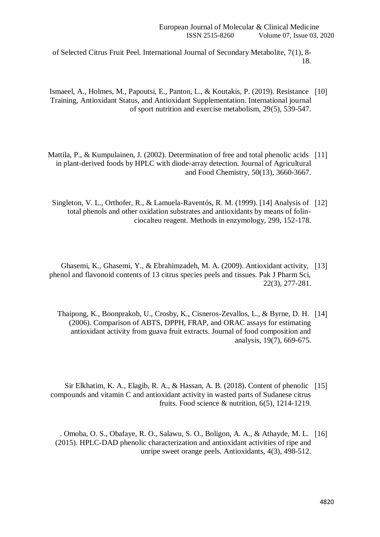of Selected Citrus Fruit Peel. International Journal of Secondary Metabolite, 7(1), 8- 18.

- Ismaeel, A., Holmes, M., Papoutsi, E., Panton, L., & Koutakis, P. (2019). Resistance [10] Training, Antioxidant Status, and Antioxidant Supplementation. International journal of sport nutrition and exercise metabolism, 29(5), 539-547.
- Mattila, P., & Kumpulainen, J. (2002). Determination of free and total phenolic acids [11] in plant-derived foods by HPLC with diode-array detection. Journal of Agricultural and Food Chemistry, 50(13), 3660-3667.
	- Singleton, V. L., Orthofer, R., & Lamuela-Raventós, R. M. (1999). [14] Analysis of [12] total phenols and other oxidation substrates and antioxidants by means of folinciocalteu reagent. Methods in enzymology, 299, 152-178.
- Ghasemi, K., Ghasemi, Y., & Ebrahimzadeh, M. A. (2009). Antioxidant activity, [13] phenol and flavonoid contents of 13 citrus species peels and tissues. Pak J Pharm Sci, 22(3), 277-281.
	- Thaipong, K., Boonprakob, U., Crosby, K., Cisneros-Zevallos, L., & Byrne, D. H. [14] (2006). Comparison of ABTS, DPPH, FRAP, and ORAC assays for estimating antioxidant activity from guava fruit extracts. Journal of food composition and analysis, 19(7), 669-675.
- Sir Elkhatim, K. A., Elagib, R. A., & Hassan, A. B. (2018). Content of phenolic [15] compounds and vitamin C and antioxidant activity in wasted parts of Sudanese citrus fruits. Food science & nutrition, 6(5), 1214-1219.
	- . Omoba, O. S., Obafaye, R. O., Salawu, S. O., Boligon, A. A., & Athayde, M. L. [16] (2015). HPLC-DAD phenolic characterization and antioxidant activities of ripe and unripe sweet orange peels. Antioxidants, 4(3), 498-512.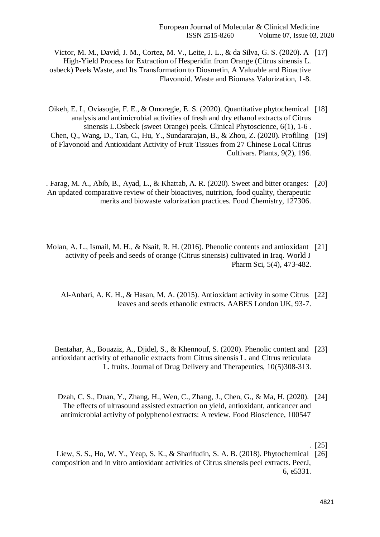- Victor, M. M., David, J. M., Cortez, M. V., Leite, J. L., & da Silva, G. S. (2020). A [17] High-Yield Process for Extraction of Hesperidin from Orange (Citrus sinensis L. osbeck) Peels Waste, and Its Transformation to Diosmetin, A Valuable and Bioactive Flavonoid. Waste and Biomass Valorization, 1-8.
- Oikeh, E. I., Oviasogie, F. E., & Omoregie, E. S. (2020). Quantitative phytochemical ]18[ analysis and antimicrobial activities of fresh and dry ethanol extracts of Citrus sinensis L.Osbeck (sweet Orange) peels. Clinical Phytoscience, 6(1), 1-6 .
- Chen, Q., Wang, D., Tan, C., Hu, Y., Sundararajan, B., & Zhou, Z. (2020). Profiling [19] of Flavonoid and Antioxidant Activity of Fruit Tissues from 27 Chinese Local Citrus Cultivars. Plants, 9(2), 196.
- . Farag, M. A., Abib, B., Ayad, L., & Khattab, A. R. (2020). Sweet and bitter oranges: [20] An updated comparative review of their bioactives, nutrition, food quality, therapeutic merits and biowaste valorization practices. Food Chemistry, 127306.
- Molan, A. L., Ismail, M. H., & Nsaif, R. H. (2016). Phenolic contents and antioxidant [21] activity of peels and seeds of orange (Citrus sinensis) cultivated in Iraq. World J Pharm Sci, 5(4), 473-482.
	- Al-Anbari, A. K. H., & Hasan, M. A. (2015). Antioxidant activity in some Citrus [22] leaves and seeds ethanolic extracts. AABES London UK, 93-7.
	- Bentahar, A., Bouaziz, A., Djidel, S., & Khennouf, S. (2020). Phenolic content and [23] antioxidant activity of ethanolic extracts from Citrus sinensis L. and Citrus reticulata L. fruits. Journal of Drug Delivery and Therapeutics, 10(5)308-313.
		- Dzah, C. S., Duan, Y., Zhang, H., Wen, C., Zhang, J., Chen, G., & Ma, H. (2020). [24] The effects of ultrasound assisted extraction on yield, antioxidant, anticancer and antimicrobial activity of polyphenol extracts: A review. Food Bioscience, 100547
			- $[25]$
	- Liew, S. S., Ho, W. Y., Yeap, S. K., & Sharifudin, S. A. B. (2018). Phytochemical [26] composition and in vitro antioxidant activities of Citrus sinensis peel extracts. PeerJ, 6, e5331.